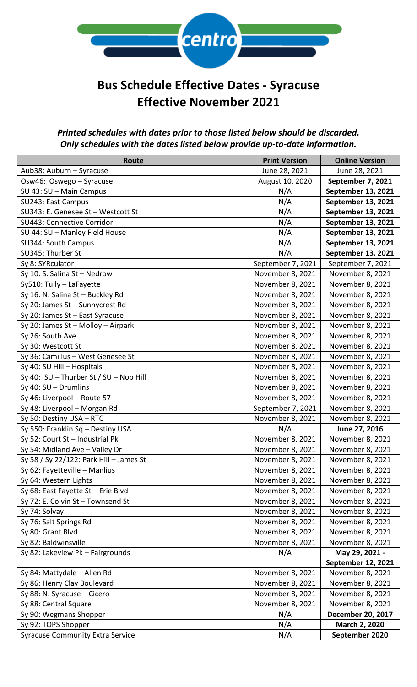

# **Bus Schedule Effective Dates - Syracuse Effective November 2021**

#### *Printed schedules with dates prior to those listed below should be discarded. Only schedules with the dates listed below provide up-to-date information.*

| Route                                   | <b>Print Version</b> | <b>Online Version</b>    |
|-----------------------------------------|----------------------|--------------------------|
| Aub38: Auburn - Syracuse                | June 28, 2021        | June 28, 2021            |
| Osw46: Oswego - Syracuse                | August 10, 2020      | September 7, 2021        |
| SU 43: SU - Main Campus                 | N/A                  | September 13, 2021       |
| SU243: East Campus                      | N/A                  | September 13, 2021       |
| SU343: E. Genesee St - Westcott St      | N/A                  | September 13, 2021       |
| SU443: Connective Corridor              | N/A                  | September 13, 2021       |
| SU 44: SU - Manley Field House          | N/A                  | September 13, 2021       |
| SU344: South Campus                     | N/A                  | September 13, 2021       |
| SU345: Thurber St                       | N/A                  | September 13, 2021       |
| Sy 8: SYRculator                        | September 7, 2021    | September 7, 2021        |
| Sy 10: S. Salina St - Nedrow            | November 8, 2021     | November 8, 2021         |
| Sy510: Tully - LaFayette                | November 8, 2021     | November 8, 2021         |
| Sy 16: N. Salina St - Buckley Rd        | November 8, 2021     | November 8, 2021         |
| Sy 20: James St - Sunnycrest Rd         | November 8, 2021     | November 8, 2021         |
| Sy 20: James St - East Syracuse         | November 8, 2021     | November 8, 2021         |
| Sy 20: James St - Molloy - Airpark      | November 8, 2021     | November 8, 2021         |
| Sy 26: South Ave                        | November 8, 2021     | November 8, 2021         |
| Sy 30: Westcott St                      | November 8, 2021     | November 8, 2021         |
| Sy 36: Camillus - West Genesee St       | November 8, 2021     | November 8, 2021         |
| Sy 40: SU Hill - Hospitals              | November 8, 2021     | November 8, 2021         |
| Sy 40: SU - Thurber St / SU - Nob Hill  | November 8, 2021     | November 8, 2021         |
| Sy 40: $SU -$ Drumlins                  | November 8, 2021     | November 8, 2021         |
| Sy 46: Liverpool - Route 57             | November 8, 2021     | November 8, 2021         |
| Sy 48: Liverpool - Morgan Rd            | September 7, 2021    | November 8, 2021         |
| Sy 50: Destiny USA - RTC                | November 8, 2021     | November 8, 2021         |
| Sy 550: Franklin Sq - Destiny USA       | N/A                  | June 27, 2016            |
| Sy 52: Court St - Industrial Pk         | November 8, 2021     | November 8, 2021         |
| Sy 54: Midland Ave - Valley Dr          | November 8, 2021     | November 8, 2021         |
| Sy 58 / Sy 22/122: Park Hill - James St | November 8, 2021     | November 8, 2021         |
| Sy 62: Fayetteville - Manlius           | November 8, 2021     | November 8, 2021         |
| Sy 64: Western Lights                   | November 8, 2021     | November 8, 2021         |
| Sy 68: East Fayette St - Erie Blvd      | November 8, 2021     | November 8, 2021         |
| Sy 72: E. Colvin St - Townsend St       | November 8, 2021     | November 8, 2021         |
| Sy 74: Solvay                           | November 8, 2021     | November 8, 2021         |
| Sy 76: Salt Springs Rd                  | November 8, 2021     | November 8, 2021         |
| Sy 80: Grant Blvd                       | November 8, 2021     | November 8, 2021         |
| Sy 82: Baldwinsville                    | November 8, 2021     | November 8, 2021         |
| Sy 82: Lakeview Pk - Fairgrounds        | N/A                  | May 29, 2021 -           |
|                                         |                      | September 12, 2021       |
| Sy 84: Mattydale - Allen Rd             | November 8, 2021     | November 8, 2021         |
| Sy 86: Henry Clay Boulevard             | November 8, 2021     | November 8, 2021         |
| Sy 88: N. Syracuse - Cicero             | November 8, 2021     | November 8, 2021         |
| Sy 88: Central Square                   | November 8, 2021     | November 8, 2021         |
| Sy 90: Wegmans Shopper                  | N/A                  | <b>December 20, 2017</b> |
| Sy 92: TOPS Shopper                     | N/A                  | March 2, 2020            |
| <b>Syracuse Community Extra Service</b> | N/A                  | September 2020           |